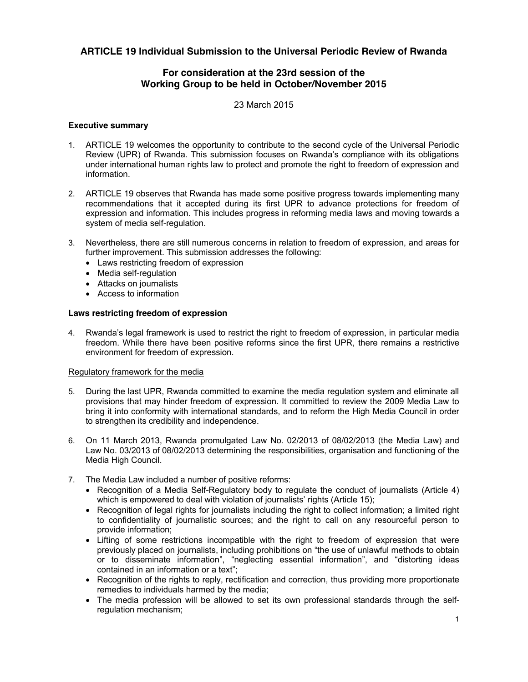# **ARTICLE 19 Individual Submission to the Universal Periodic Review of Rwanda**

## **For consideration at the 23rd session of the Working Group to be held in October/November 2015**

23 March 2015

## **Executive summary**

- 1. ARTICLE 19 welcomes the opportunity to contribute to the second cycle of the Universal Periodic Review (UPR) of Rwanda. This submission focuses on Rwanda's compliance with its obligations under international human rights law to protect and promote the right to freedom of expression and information.
- 2. ARTICLE 19 observes that Rwanda has made some positive progress towards implementing many recommendations that it accepted during its first UPR to advance protections for freedom of expression and information. This includes progress in reforming media laws and moving towards a system of media self-regulation.
- 3. Nevertheless, there are still numerous concerns in relation to freedom of expression, and areas for further improvement. This submission addresses the following:
	- Laws restricting freedom of expression
	- Media self-regulation
	- Attacks on journalists
	- Access to information

## **Laws restricting freedom of expression**

4. Rwanda's legal framework is used to restrict the right to freedom of expression, in particular media freedom. While there have been positive reforms since the first UPR, there remains a restrictive environment for freedom of expression.

## Regulatory framework for the media

- 5. During the last UPR, Rwanda committed to examine the media regulation system and eliminate all provisions that may hinder freedom of expression. It committed to review the 2009 Media Law to bring it into conformity with international standards, and to reform the High Media Council in order to strengthen its credibility and independence.
- 6. On 11 March 2013, Rwanda promulgated Law No. 02/2013 of 08/02/2013 (the Media Law) and Law No. 03/2013 of 08/02/2013 determining the responsibilities, organisation and functioning of the Media High Council.
- 7. The Media Law included a number of positive reforms:
	- Recognition of a Media Self-Regulatory body to regulate the conduct of journalists (Article 4) which is empowered to deal with violation of journalists' rights (Article 15);
	- Recognition of legal rights for journalists including the right to collect information; a limited right to confidentiality of journalistic sources; and the right to call on any resourceful person to provide information;
	- Lifting of some restrictions incompatible with the right to freedom of expression that were previously placed on journalists, including prohibitions on "the use of unlawful methods to obtain or to disseminate information", "neglecting essential information", and "distorting ideas contained in an information or a text";
	- Recognition of the rights to reply, rectification and correction, thus providing more proportionate remedies to individuals harmed by the media;
	- The media profession will be allowed to set its own professional standards through the selfregulation mechanism;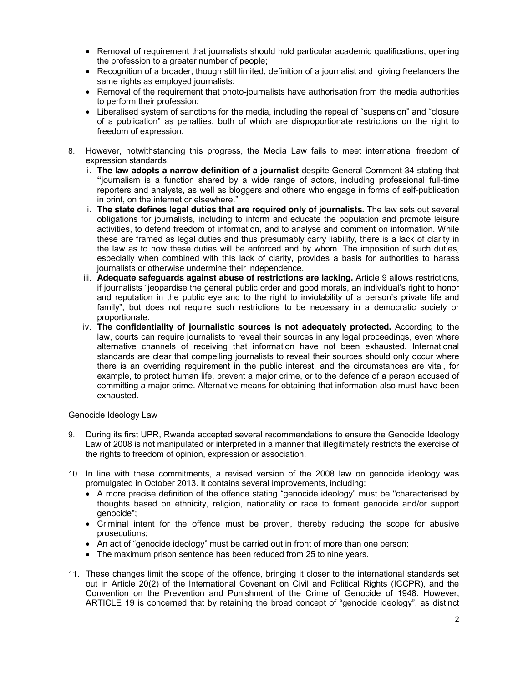- Removal of requirement that journalists should hold particular academic qualifications, opening the profession to a greater number of people;
- Recognition of a broader, though still limited, definition of a journalist and giving freelancers the same rights as employed journalists;
- Removal of the requirement that photo-journalists have authorisation from the media authorities to perform their profession;
- Liberalised system of sanctions for the media, including the repeal of "suspension" and "closure of a publication" as penalties, both of which are disproportionate restrictions on the right to freedom of expression.
- 8. However, notwithstanding this progress, the Media Law fails to meet international freedom of expression standards:
	- i. **The law adopts a narrow definition of a journalist** despite General Comment 34 stating that **"**journalism is a function shared by a wide range of actors, including professional full-time reporters and analysts, as well as bloggers and others who engage in forms of self-publication in print, on the internet or elsewhere."
	- ii. **The state defines legal duties that are required only of journalists.** The law sets out several obligations for journalists, including to inform and educate the population and promote leisure activities, to defend freedom of information, and to analyse and comment on information. While these are framed as legal duties and thus presumably carry liability, there is a lack of clarity in the law as to how these duties will be enforced and by whom. The imposition of such duties, especially when combined with this lack of clarity, provides a basis for authorities to harass journalists or otherwise undermine their independence.
	- iii. **Adequate safeguards against abuse of restrictions are lacking.** Article 9 allows restrictions, if journalists "jeopardise the general public order and good morals, an individual's right to honor and reputation in the public eye and to the right to inviolability of a person's private life and family", but does not require such restrictions to be necessary in a democratic society or proportionate.
	- iv. **The confidentiality of journalistic sources is not adequately protected.** According to the law, courts can require journalists to reveal their sources in any legal proceedings, even where alternative channels of receiving that information have not been exhausted. International standards are clear that compelling journalists to reveal their sources should only occur where there is an overriding requirement in the public interest, and the circumstances are vital, for example, to protect human life, prevent a major crime, or to the defence of a person accused of committing a major crime. Alternative means for obtaining that information also must have been exhausted.

## Genocide Ideology Law

- 9. During its first UPR, Rwanda accepted several recommendations to ensure the Genocide Ideology Law of 2008 is not manipulated or interpreted in a manner that illegitimately restricts the exercise of the rights to freedom of opinion, expression or association.
- 10. In line with these commitments, a revised version of the 2008 law on genocide ideology was promulgated in October 2013. It contains several improvements, including:
	- A more precise definition of the offence stating "genocide ideology" must be "characterised by thoughts based on ethnicity, religion, nationality or race to foment genocide and/or support genocide";
	- Criminal intent for the offence must be proven, thereby reducing the scope for abusive prosecutions;
	- An act of "genocide ideology" must be carried out in front of more than one person;
	- The maximum prison sentence has been reduced from 25 to nine years.
- 11. These changes limit the scope of the offence, bringing it closer to the international standards set out in Article 20(2) of the International Covenant on Civil and Political Rights (ICCPR), and the Convention on the Prevention and Punishment of the Crime of Genocide of 1948. However, ARTICLE 19 is concerned that by retaining the broad concept of "genocide ideology", as distinct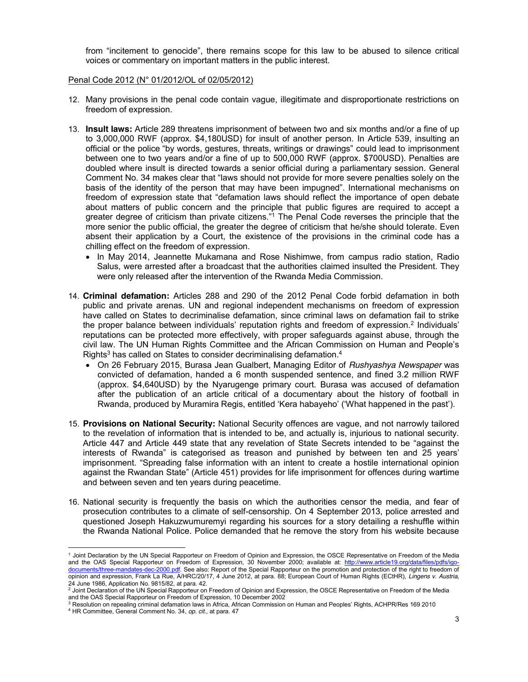from "incitement to genocide", there remains scope for this law to be abused to silence critical voices or commentary on important matters in the public interest.

#### Penal Code 2012 (N° 01/2012/OL of 02/05/2012)

 $\overline{a}$ 

- 12. Many provisions in the penal code contain vague, illegitimate and disproportionate restrictions on freedom of expression.
- 13. **Insult laws:** Article 289 threatens imprisonment of between two and six months and/or a fine of up to 3,000,000 RWF (approx. \$4,180USD) for insult of another person. In Article 539, insulting an official or the police "by words, gestures, threats, writings or drawings" could lead to imprisonment between one to two years and/or a fine of up to 500,000 RWF (approx. \$700USD). Penalties are doubled where insult is directed towards a senior official during a parliamentary session. General Comment No. 34 makes clear that "laws should not provide for more severe penalties solely on the basis of the identity of the person that may have been impugned". International mechanisms on freedom of expression state that "defamation laws should reflect the importance of open debate about matters of public concern and the principle that public figures are required to accept a greater degree of criticism than private citizens."<sup>1</sup> The Penal Code reverses the principle that the more senior the public official, the greater the degree of criticism that he/she should tolerate. Even absent their application by a Court, the existence of the provisions in the criminal code has a chilling effect on the freedom of expression.
	- In May 2014, Jeannette Mukamana and Rose Nishimwe, from campus radio station, Radio Salus, were arrested after a broadcast that the authorities claimed insulted the President. They were only released after the intervention of the Rwanda Media Commission.
- 14. **Criminal defamation:** Articles 288 and 290 of the 2012 Penal Code forbid defamation in both public and private arenas. UN and regional independent mechanisms on freedom of expression have called on States to decriminalise defamation, since criminal laws on defamation fail to strike the proper balance between individuals' reputation rights and freedom of expression.<sup>2</sup> Individuals' reputations can be protected more effectively, with proper safeguards against abuse, through the civil law. The UN Human Rights Committee and the African Commission on Human and People's Rights<sup>3</sup> has called on States to consider decriminalising defamation.<sup>4</sup>
	- x On 26 February 2015, Burasa Jean Gualbert, Managing Editor of *Rushyashya Newspaper* was convicted of defamation, handed a 6 month suspended sentence, and fined 3.2 million RWF (approx. \$4,640USD) by the Nyarugenge primary court. Burasa was accused of defamation after the publication of an article critical of a documentary about the history of football in Rwanda, produced by Muramira Regis, entitled 'Kera habayeho' ('What happened in the past').
- 15. **Provisions on National Security:** National Security offences are vague, and not narrowly tailored to the revelation of information that is intended to be, and actually is, injurious to national security. Article 447 and Article 449 state that any revelation of State Secrets intended to be "against the interests of Rwanda" is categorised as treason and punished by between ten and 25 years' imprisonment. "Spreading false information with an intent to create a hostile international opinion against the Rwandan State" (Article 451) provides for life imprisonment for offences during wa**r**time and between seven and ten years during peacetime.
- 16. National security is frequently the basis on which the authorities censor the media, and fear of prosecution contributes to a climate of self-censorship. On 4 September 2013, police arrested and questioned Joseph Hakuzwumuremyi regarding his sources for a story detailing a reshuffle within the Rwanda National Police. Police demanded that he remove the story from his website because

<sup>1</sup> Joint Declaration by the UN Special Rapporteur on Freedom of Opinion and Expression, the OSCE Representative on Freedom of the Media and the OAS Special Rapporteur on Freedom of Expression, 30 November 2000; available at: http://www.article19.org/data/files/pdfs/igodocuments/three-mandates-dec-2000.pdf. See also: Report of the Special Rapporteur on the promotion and protection of the right to freedom of opinion and expression, Frank La Rue, A/HRC/20/17, 4 June 2012, at para. 88; European Court of Human Rights (ECtHR), *Lingens v. Austria,* 

<sup>24</sup> June 1986, Application No. 9815/82, at para. 42.<br><sup>2</sup> Joint Declaration of the UN Special Rapporteur on Freedom of Opinion and Expression, the OSCE Representative on Freedom of the Media and the OAS Special Rapporteur on Freedom of Expression, 10 December 2002<br><sup>3</sup> Resolution on repealing criminal defamation laws in Africa, African Commission on Human and Peoples' Rights, ACHPR/Res 169 2010

<sup>4</sup> HR Committee, General Comment No. 34, *op. cit.*, at para. 47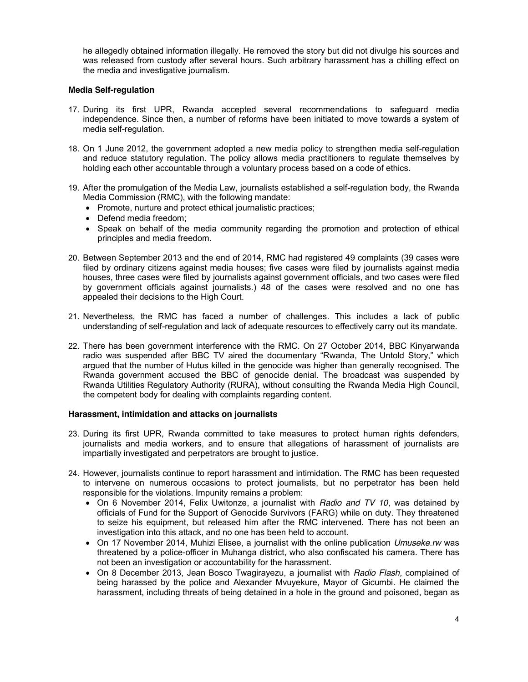he allegedly obtained information illegally. He removed the story but did not divulge his sources and was released from custody after several hours. Such arbitrary harassment has a chilling effect on the media and investigative journalism.

## **Media Self-regulation**

- 17. During its first UPR, Rwanda accepted several recommendations to safeguard media independence. Since then, a number of reforms have been initiated to move towards a system of media self-regulation.
- 18. On 1 June 2012, the government adopted a new media policy to strengthen media self-regulation and reduce statutory regulation. The policy allows media practitioners to regulate themselves by holding each other accountable through a voluntary process based on a code of ethics.
- 19. After the promulgation of the Media Law, journalists established a self-regulation body, the Rwanda Media Commission (RMC), with the following mandate:
	- Promote, nurture and protect ethical journalistic practices;
	- Defend media freedom;
	- Speak on behalf of the media community regarding the promotion and protection of ethical principles and media freedom.
- 20. Between September 2013 and the end of 2014, RMC had registered 49 complaints (39 cases were filed by ordinary citizens against media houses; five cases were filed by journalists against media houses, three cases were filed by journalists against government officials, and two cases were filed by government officials against journalists.) 48 of the cases were resolved and no one has appealed their decisions to the High Court.
- 21. Nevertheless, the RMC has faced a number of challenges. This includes a lack of public understanding of self-regulation and lack of adequate resources to effectively carry out its mandate.
- 22. There has been government interference with the RMC. On 27 October 2014, BBC Kinyarwanda radio was suspended after BBC TV aired the documentary "Rwanda, The Untold Story," which argued that the number of Hutus killed in the genocide was higher than generally recognised. The Rwanda government accused the BBC of genocide denial. The broadcast was suspended by Rwanda Utilities Regulatory Authority (RURA), without consulting the Rwanda Media High Council, the competent body for dealing with complaints regarding content.

## **Harassment, intimidation and attacks on journalists**

- 23. During its first UPR, Rwanda committed to take measures to protect human rights defenders, journalists and media workers, and to ensure that allegations of harassment of journalists are impartially investigated and perpetrators are brought to justice.
- 24. However, journalists continue to report harassment and intimidation. The RMC has been requested to intervene on numerous occasions to protect journalists, but no perpetrator has been held responsible for the violations. Impunity remains a problem:
	- x On 6 November 2014, Felix Uwitonze, a journalist with *Radio and TV 10*, was detained by officials of Fund for the Support of Genocide Survivors (FARG) while on duty. They threatened to seize his equipment, but released him after the RMC intervened. There has not been an investigation into this attack, and no one has been held to account.
	- On 17 November 2014, Muhizi Elisee, a journalist with the online publication *Umuseke.rw* was threatened by a police-officer in Muhanga district, who also confiscated his camera. There has not been an investigation or accountability for the harassment.
	- x On 8 December 2013, Jean Bosco Twagirayezu, a journalist with *Radio Flash,* complained of being harassed by the police and Alexander Mvuyekure, Mayor of Gicumbi. He claimed the harassment, including threats of being detained in a hole in the ground and poisoned, began as